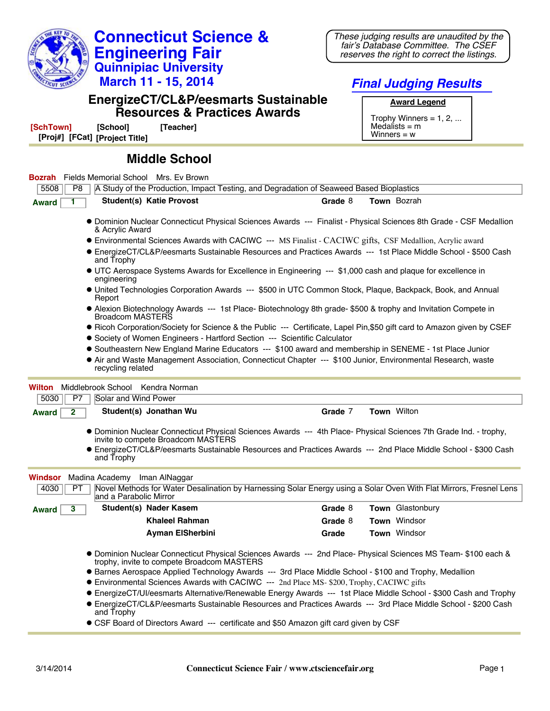

These judging results are unaudited by the fair's Database Committee. The CSEF reserves the right to correct the listings.

## **EnergizeCT/CL&P/eesmarts Sustainable**

**Connecticut Science & Engineering Fair Quinnipiac University March 11 - 15, 2014**

**Award Legend**

**Final Judging Results**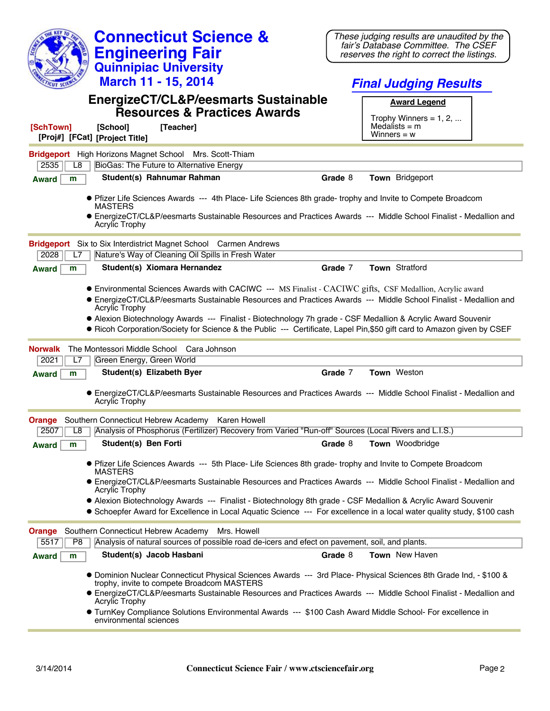| fair's Database Committee. The CSEF<br><b>Engineering Fair</b><br>reserves the right to correct the listings.<br><b>Quinnipiac University</b><br>March 11 - 15, 2014<br><b>Final Judging Results</b><br>EnergizeCT/CL&P/eesmarts Sustainable<br><b>Award Legend</b><br><b>Resources &amp; Practices Awards</b><br>Trophy Winners = $1, 2, $<br>Medalists $=$ m<br>[SchTown]<br>[School]<br>[Teacher]<br>Winners = $w$<br>[Proj#] [FCat] [Project Title]<br>Bridgeport High Horizons Magnet School Mrs. Scott-Thiam<br>BioGas: The Future to Alternative Energy<br>2535<br>L8<br>Student(s) Rahnumar Rahman<br>Grade 8<br>Town Bridgeport<br><b>Award</b><br>m<br>• Pfizer Life Sciences Awards --- 4th Place- Life Sciences 8th grade- trophy and Invite to Compete Broadcom<br><b>MASTERS</b><br>• EnergizeCT/CL&P/eesmarts Sustainable Resources and Practices Awards --- Middle School Finalist - Medallion and<br><b>Acrylic Trophy</b><br><b>Bridgeport</b> Six to Six Interdistrict Magnet School Carmen Andrews<br>Nature's Way of Cleaning Oil Spills in Fresh Water<br>2028<br>L7<br>Student(s) Xiomara Hernandez<br>Town Stratford<br>Grade 7<br>m<br><b>Award</b><br>• Environmental Sciences Awards with CACIWC --- MS Finalist - CACIWC gifts, CSF Medallion, Acrylic award<br>• EnergizeCT/CL&P/eesmarts Sustainable Resources and Practices Awards --- Middle School Finalist - Medallion and<br><b>Acrylic Trophy</b><br>• Alexion Biotechnology Awards --- Finalist - Biotechnology 7h grade - CSF Medallion & Acrylic Award Souvenir<br>• Ricoh Corporation/Society for Science & the Public --- Certificate, Lapel Pin, \$50 gift card to Amazon given by CSEF<br>The Montessori Middle School Cara Johnson<br>Norwalk<br>2021<br>L7<br>Green Energy, Green World<br>Grade 7<br>Town Weston<br>Student(s) Elizabeth Byer<br>m<br><b>Award</b><br>• EnergizeCT/CL&P/eesmarts Sustainable Resources and Practices Awards --- Middle School Finalist - Medallion and<br><b>Acrylic Trophy</b><br><b>Orange</b> Southern Connecticut Hebrew Academy Karen Howell<br>2507   L8   Analysis of Phosphorus (Fertilizer) Recovery from Varied "Run-off" Sources (Local Rivers and L.I.S.)<br>Student(s) Ben Forti<br><b>Town</b> Woodbridge<br>Grade 8<br><b>Award</b><br>m<br>• Pfizer Life Sciences Awards --- 5th Place- Life Sciences 8th grade- trophy and Invite to Compete Broadcom<br><b>MASTERS</b><br>• EnergizeCT/CL&P/eesmarts Sustainable Resources and Practices Awards --- Middle School Finalist - Medallion and<br><b>Acrylic Trophy</b><br>• Alexion Biotechnology Awards --- Finalist - Biotechnology 8th grade - CSF Medallion & Acrylic Award Souvenir<br>• Schoepfer Award for Excellence in Local Aquatic Science --- For excellence in a local water quality study, \$100 cash<br>Southern Connecticut Hebrew Academy<br>Mrs. Howell<br><b>Orange</b><br>Analysis of natural sources of possible road de-icers and efect on pavement, soil, and plants.<br>5517<br>P8 | <b>Connecticut Science &amp;</b>              | These judging results are unaudited by the |  |
|---------------------------------------------------------------------------------------------------------------------------------------------------------------------------------------------------------------------------------------------------------------------------------------------------------------------------------------------------------------------------------------------------------------------------------------------------------------------------------------------------------------------------------------------------------------------------------------------------------------------------------------------------------------------------------------------------------------------------------------------------------------------------------------------------------------------------------------------------------------------------------------------------------------------------------------------------------------------------------------------------------------------------------------------------------------------------------------------------------------------------------------------------------------------------------------------------------------------------------------------------------------------------------------------------------------------------------------------------------------------------------------------------------------------------------------------------------------------------------------------------------------------------------------------------------------------------------------------------------------------------------------------------------------------------------------------------------------------------------------------------------------------------------------------------------------------------------------------------------------------------------------------------------------------------------------------------------------------------------------------------------------------------------------------------------------------------------------------------------------------------------------------------------------------------------------------------------------------------------------------------------------------------------------------------------------------------------------------------------------------------------------------------------------------------------------------------------------------------------------------------------------------------------------------------------------------------------------------------------------------------------------------------------------------------------------------------------------------------------------------------------------------------------------------------------------------------------------------------------------------------------------------------------------------------------------------------------------------------------------------------------|-----------------------------------------------|--------------------------------------------|--|
|                                                                                                                                                                                                                                                                                                                                                                                                                                                                                                                                                                                                                                                                                                                                                                                                                                                                                                                                                                                                                                                                                                                                                                                                                                                                                                                                                                                                                                                                                                                                                                                                                                                                                                                                                                                                                                                                                                                                                                                                                                                                                                                                                                                                                                                                                                                                                                                                                                                                                                                                                                                                                                                                                                                                                                                                                                                                                                                                                                                                         |                                               |                                            |  |
|                                                                                                                                                                                                                                                                                                                                                                                                                                                                                                                                                                                                                                                                                                                                                                                                                                                                                                                                                                                                                                                                                                                                                                                                                                                                                                                                                                                                                                                                                                                                                                                                                                                                                                                                                                                                                                                                                                                                                                                                                                                                                                                                                                                                                                                                                                                                                                                                                                                                                                                                                                                                                                                                                                                                                                                                                                                                                                                                                                                                         |                                               |                                            |  |
|                                                                                                                                                                                                                                                                                                                                                                                                                                                                                                                                                                                                                                                                                                                                                                                                                                                                                                                                                                                                                                                                                                                                                                                                                                                                                                                                                                                                                                                                                                                                                                                                                                                                                                                                                                                                                                                                                                                                                                                                                                                                                                                                                                                                                                                                                                                                                                                                                                                                                                                                                                                                                                                                                                                                                                                                                                                                                                                                                                                                         |                                               |                                            |  |
|                                                                                                                                                                                                                                                                                                                                                                                                                                                                                                                                                                                                                                                                                                                                                                                                                                                                                                                                                                                                                                                                                                                                                                                                                                                                                                                                                                                                                                                                                                                                                                                                                                                                                                                                                                                                                                                                                                                                                                                                                                                                                                                                                                                                                                                                                                                                                                                                                                                                                                                                                                                                                                                                                                                                                                                                                                                                                                                                                                                                         |                                               |                                            |  |
|                                                                                                                                                                                                                                                                                                                                                                                                                                                                                                                                                                                                                                                                                                                                                                                                                                                                                                                                                                                                                                                                                                                                                                                                                                                                                                                                                                                                                                                                                                                                                                                                                                                                                                                                                                                                                                                                                                                                                                                                                                                                                                                                                                                                                                                                                                                                                                                                                                                                                                                                                                                                                                                                                                                                                                                                                                                                                                                                                                                                         |                                               |                                            |  |
|                                                                                                                                                                                                                                                                                                                                                                                                                                                                                                                                                                                                                                                                                                                                                                                                                                                                                                                                                                                                                                                                                                                                                                                                                                                                                                                                                                                                                                                                                                                                                                                                                                                                                                                                                                                                                                                                                                                                                                                                                                                                                                                                                                                                                                                                                                                                                                                                                                                                                                                                                                                                                                                                                                                                                                                                                                                                                                                                                                                                         |                                               |                                            |  |
|                                                                                                                                                                                                                                                                                                                                                                                                                                                                                                                                                                                                                                                                                                                                                                                                                                                                                                                                                                                                                                                                                                                                                                                                                                                                                                                                                                                                                                                                                                                                                                                                                                                                                                                                                                                                                                                                                                                                                                                                                                                                                                                                                                                                                                                                                                                                                                                                                                                                                                                                                                                                                                                                                                                                                                                                                                                                                                                                                                                                         |                                               |                                            |  |
|                                                                                                                                                                                                                                                                                                                                                                                                                                                                                                                                                                                                                                                                                                                                                                                                                                                                                                                                                                                                                                                                                                                                                                                                                                                                                                                                                                                                                                                                                                                                                                                                                                                                                                                                                                                                                                                                                                                                                                                                                                                                                                                                                                                                                                                                                                                                                                                                                                                                                                                                                                                                                                                                                                                                                                                                                                                                                                                                                                                                         |                                               |                                            |  |
|                                                                                                                                                                                                                                                                                                                                                                                                                                                                                                                                                                                                                                                                                                                                                                                                                                                                                                                                                                                                                                                                                                                                                                                                                                                                                                                                                                                                                                                                                                                                                                                                                                                                                                                                                                                                                                                                                                                                                                                                                                                                                                                                                                                                                                                                                                                                                                                                                                                                                                                                                                                                                                                                                                                                                                                                                                                                                                                                                                                                         |                                               |                                            |  |
|                                                                                                                                                                                                                                                                                                                                                                                                                                                                                                                                                                                                                                                                                                                                                                                                                                                                                                                                                                                                                                                                                                                                                                                                                                                                                                                                                                                                                                                                                                                                                                                                                                                                                                                                                                                                                                                                                                                                                                                                                                                                                                                                                                                                                                                                                                                                                                                                                                                                                                                                                                                                                                                                                                                                                                                                                                                                                                                                                                                                         |                                               |                                            |  |
|                                                                                                                                                                                                                                                                                                                                                                                                                                                                                                                                                                                                                                                                                                                                                                                                                                                                                                                                                                                                                                                                                                                                                                                                                                                                                                                                                                                                                                                                                                                                                                                                                                                                                                                                                                                                                                                                                                                                                                                                                                                                                                                                                                                                                                                                                                                                                                                                                                                                                                                                                                                                                                                                                                                                                                                                                                                                                                                                                                                                         |                                               |                                            |  |
|                                                                                                                                                                                                                                                                                                                                                                                                                                                                                                                                                                                                                                                                                                                                                                                                                                                                                                                                                                                                                                                                                                                                                                                                                                                                                                                                                                                                                                                                                                                                                                                                                                                                                                                                                                                                                                                                                                                                                                                                                                                                                                                                                                                                                                                                                                                                                                                                                                                                                                                                                                                                                                                                                                                                                                                                                                                                                                                                                                                                         |                                               |                                            |  |
|                                                                                                                                                                                                                                                                                                                                                                                                                                                                                                                                                                                                                                                                                                                                                                                                                                                                                                                                                                                                                                                                                                                                                                                                                                                                                                                                                                                                                                                                                                                                                                                                                                                                                                                                                                                                                                                                                                                                                                                                                                                                                                                                                                                                                                                                                                                                                                                                                                                                                                                                                                                                                                                                                                                                                                                                                                                                                                                                                                                                         |                                               |                                            |  |
|                                                                                                                                                                                                                                                                                                                                                                                                                                                                                                                                                                                                                                                                                                                                                                                                                                                                                                                                                                                                                                                                                                                                                                                                                                                                                                                                                                                                                                                                                                                                                                                                                                                                                                                                                                                                                                                                                                                                                                                                                                                                                                                                                                                                                                                                                                                                                                                                                                                                                                                                                                                                                                                                                                                                                                                                                                                                                                                                                                                                         |                                               |                                            |  |
|                                                                                                                                                                                                                                                                                                                                                                                                                                                                                                                                                                                                                                                                                                                                                                                                                                                                                                                                                                                                                                                                                                                                                                                                                                                                                                                                                                                                                                                                                                                                                                                                                                                                                                                                                                                                                                                                                                                                                                                                                                                                                                                                                                                                                                                                                                                                                                                                                                                                                                                                                                                                                                                                                                                                                                                                                                                                                                                                                                                                         |                                               |                                            |  |
|                                                                                                                                                                                                                                                                                                                                                                                                                                                                                                                                                                                                                                                                                                                                                                                                                                                                                                                                                                                                                                                                                                                                                                                                                                                                                                                                                                                                                                                                                                                                                                                                                                                                                                                                                                                                                                                                                                                                                                                                                                                                                                                                                                                                                                                                                                                                                                                                                                                                                                                                                                                                                                                                                                                                                                                                                                                                                                                                                                                                         |                                               |                                            |  |
|                                                                                                                                                                                                                                                                                                                                                                                                                                                                                                                                                                                                                                                                                                                                                                                                                                                                                                                                                                                                                                                                                                                                                                                                                                                                                                                                                                                                                                                                                                                                                                                                                                                                                                                                                                                                                                                                                                                                                                                                                                                                                                                                                                                                                                                                                                                                                                                                                                                                                                                                                                                                                                                                                                                                                                                                                                                                                                                                                                                                         |                                               |                                            |  |
|                                                                                                                                                                                                                                                                                                                                                                                                                                                                                                                                                                                                                                                                                                                                                                                                                                                                                                                                                                                                                                                                                                                                                                                                                                                                                                                                                                                                                                                                                                                                                                                                                                                                                                                                                                                                                                                                                                                                                                                                                                                                                                                                                                                                                                                                                                                                                                                                                                                                                                                                                                                                                                                                                                                                                                                                                                                                                                                                                                                                         |                                               |                                            |  |
|                                                                                                                                                                                                                                                                                                                                                                                                                                                                                                                                                                                                                                                                                                                                                                                                                                                                                                                                                                                                                                                                                                                                                                                                                                                                                                                                                                                                                                                                                                                                                                                                                                                                                                                                                                                                                                                                                                                                                                                                                                                                                                                                                                                                                                                                                                                                                                                                                                                                                                                                                                                                                                                                                                                                                                                                                                                                                                                                                                                                         |                                               |                                            |  |
|                                                                                                                                                                                                                                                                                                                                                                                                                                                                                                                                                                                                                                                                                                                                                                                                                                                                                                                                                                                                                                                                                                                                                                                                                                                                                                                                                                                                                                                                                                                                                                                                                                                                                                                                                                                                                                                                                                                                                                                                                                                                                                                                                                                                                                                                                                                                                                                                                                                                                                                                                                                                                                                                                                                                                                                                                                                                                                                                                                                                         |                                               |                                            |  |
|                                                                                                                                                                                                                                                                                                                                                                                                                                                                                                                                                                                                                                                                                                                                                                                                                                                                                                                                                                                                                                                                                                                                                                                                                                                                                                                                                                                                                                                                                                                                                                                                                                                                                                                                                                                                                                                                                                                                                                                                                                                                                                                                                                                                                                                                                                                                                                                                                                                                                                                                                                                                                                                                                                                                                                                                                                                                                                                                                                                                         |                                               |                                            |  |
|                                                                                                                                                                                                                                                                                                                                                                                                                                                                                                                                                                                                                                                                                                                                                                                                                                                                                                                                                                                                                                                                                                                                                                                                                                                                                                                                                                                                                                                                                                                                                                                                                                                                                                                                                                                                                                                                                                                                                                                                                                                                                                                                                                                                                                                                                                                                                                                                                                                                                                                                                                                                                                                                                                                                                                                                                                                                                                                                                                                                         |                                               |                                            |  |
|                                                                                                                                                                                                                                                                                                                                                                                                                                                                                                                                                                                                                                                                                                                                                                                                                                                                                                                                                                                                                                                                                                                                                                                                                                                                                                                                                                                                                                                                                                                                                                                                                                                                                                                                                                                                                                                                                                                                                                                                                                                                                                                                                                                                                                                                                                                                                                                                                                                                                                                                                                                                                                                                                                                                                                                                                                                                                                                                                                                                         |                                               |                                            |  |
|                                                                                                                                                                                                                                                                                                                                                                                                                                                                                                                                                                                                                                                                                                                                                                                                                                                                                                                                                                                                                                                                                                                                                                                                                                                                                                                                                                                                                                                                                                                                                                                                                                                                                                                                                                                                                                                                                                                                                                                                                                                                                                                                                                                                                                                                                                                                                                                                                                                                                                                                                                                                                                                                                                                                                                                                                                                                                                                                                                                                         |                                               |                                            |  |
|                                                                                                                                                                                                                                                                                                                                                                                                                                                                                                                                                                                                                                                                                                                                                                                                                                                                                                                                                                                                                                                                                                                                                                                                                                                                                                                                                                                                                                                                                                                                                                                                                                                                                                                                                                                                                                                                                                                                                                                                                                                                                                                                                                                                                                                                                                                                                                                                                                                                                                                                                                                                                                                                                                                                                                                                                                                                                                                                                                                                         |                                               |                                            |  |
|                                                                                                                                                                                                                                                                                                                                                                                                                                                                                                                                                                                                                                                                                                                                                                                                                                                                                                                                                                                                                                                                                                                                                                                                                                                                                                                                                                                                                                                                                                                                                                                                                                                                                                                                                                                                                                                                                                                                                                                                                                                                                                                                                                                                                                                                                                                                                                                                                                                                                                                                                                                                                                                                                                                                                                                                                                                                                                                                                                                                         |                                               |                                            |  |
|                                                                                                                                                                                                                                                                                                                                                                                                                                                                                                                                                                                                                                                                                                                                                                                                                                                                                                                                                                                                                                                                                                                                                                                                                                                                                                                                                                                                                                                                                                                                                                                                                                                                                                                                                                                                                                                                                                                                                                                                                                                                                                                                                                                                                                                                                                                                                                                                                                                                                                                                                                                                                                                                                                                                                                                                                                                                                                                                                                                                         |                                               |                                            |  |
|                                                                                                                                                                                                                                                                                                                                                                                                                                                                                                                                                                                                                                                                                                                                                                                                                                                                                                                                                                                                                                                                                                                                                                                                                                                                                                                                                                                                                                                                                                                                                                                                                                                                                                                                                                                                                                                                                                                                                                                                                                                                                                                                                                                                                                                                                                                                                                                                                                                                                                                                                                                                                                                                                                                                                                                                                                                                                                                                                                                                         |                                               |                                            |  |
|                                                                                                                                                                                                                                                                                                                                                                                                                                                                                                                                                                                                                                                                                                                                                                                                                                                                                                                                                                                                                                                                                                                                                                                                                                                                                                                                                                                                                                                                                                                                                                                                                                                                                                                                                                                                                                                                                                                                                                                                                                                                                                                                                                                                                                                                                                                                                                                                                                                                                                                                                                                                                                                                                                                                                                                                                                                                                                                                                                                                         |                                               |                                            |  |
|                                                                                                                                                                                                                                                                                                                                                                                                                                                                                                                                                                                                                                                                                                                                                                                                                                                                                                                                                                                                                                                                                                                                                                                                                                                                                                                                                                                                                                                                                                                                                                                                                                                                                                                                                                                                                                                                                                                                                                                                                                                                                                                                                                                                                                                                                                                                                                                                                                                                                                                                                                                                                                                                                                                                                                                                                                                                                                                                                                                                         |                                               |                                            |  |
|                                                                                                                                                                                                                                                                                                                                                                                                                                                                                                                                                                                                                                                                                                                                                                                                                                                                                                                                                                                                                                                                                                                                                                                                                                                                                                                                                                                                                                                                                                                                                                                                                                                                                                                                                                                                                                                                                                                                                                                                                                                                                                                                                                                                                                                                                                                                                                                                                                                                                                                                                                                                                                                                                                                                                                                                                                                                                                                                                                                                         | Student(s) Jacob Hasbani<br><b>Award</b><br>m | Grade 8<br><b>Town</b> New Haven           |  |
| ● Dominion Nuclear Connecticut Physical Sciences Awards --- 3rd Place- Physical Sciences 8th Grade Ind, - \$100 &<br>trophy, invite to compete Broadcom MASTERS                                                                                                                                                                                                                                                                                                                                                                                                                                                                                                                                                                                                                                                                                                                                                                                                                                                                                                                                                                                                                                                                                                                                                                                                                                                                                                                                                                                                                                                                                                                                                                                                                                                                                                                                                                                                                                                                                                                                                                                                                                                                                                                                                                                                                                                                                                                                                                                                                                                                                                                                                                                                                                                                                                                                                                                                                                         |                                               |                                            |  |
| • EnergizeCT/CL&P/eesmarts Sustainable Resources and Practices Awards --- Middle School Finalist - Medallion and<br><b>Acrylic Trophy</b>                                                                                                                                                                                                                                                                                                                                                                                                                                                                                                                                                                                                                                                                                                                                                                                                                                                                                                                                                                                                                                                                                                                                                                                                                                                                                                                                                                                                                                                                                                                                                                                                                                                                                                                                                                                                                                                                                                                                                                                                                                                                                                                                                                                                                                                                                                                                                                                                                                                                                                                                                                                                                                                                                                                                                                                                                                                               |                                               |                                            |  |
| <b>• TurnKey Compliance Solutions Environmental Awards --- \$100 Cash Award Middle School- For excellence in</b><br>environmental sciences                                                                                                                                                                                                                                                                                                                                                                                                                                                                                                                                                                                                                                                                                                                                                                                                                                                                                                                                                                                                                                                                                                                                                                                                                                                                                                                                                                                                                                                                                                                                                                                                                                                                                                                                                                                                                                                                                                                                                                                                                                                                                                                                                                                                                                                                                                                                                                                                                                                                                                                                                                                                                                                                                                                                                                                                                                                              |                                               |                                            |  |